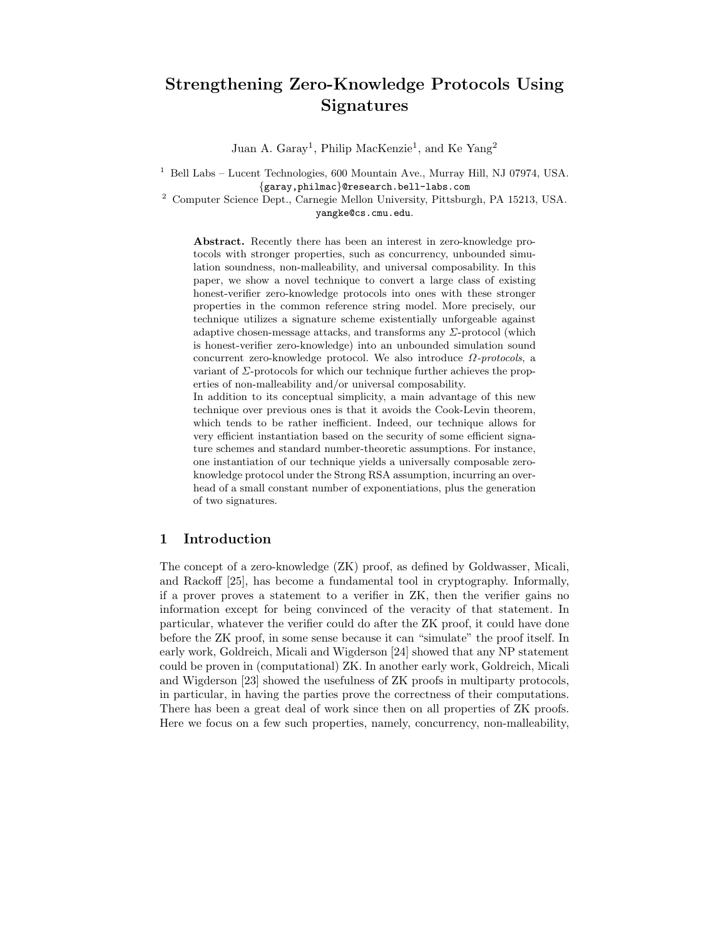# Strengthening Zero-Knowledge Protocols Using Signatures

Juan A. Garay<sup>1</sup>, Philip MacKenzie<sup>1</sup>, and Ke Yang<sup>2</sup>

<sup>1</sup> Bell Labs – Lucent Technologies, 600 Mountain Ave., Murray Hill, NJ 07974, USA. {garay,philmac}@research.bell-labs.com

<sup>2</sup> Computer Science Dept., Carnegie Mellon University, Pittsburgh, PA 15213, USA. yangke@cs.cmu.edu.

Abstract. Recently there has been an interest in zero-knowledge protocols with stronger properties, such as concurrency, unbounded simulation soundness, non-malleability, and universal composability. In this paper, we show a novel technique to convert a large class of existing honest-verifier zero-knowledge protocols into ones with these stronger properties in the common reference string model. More precisely, our technique utilizes a signature scheme existentially unforgeable against adaptive chosen-message attacks, and transforms any  $\Sigma$ -protocol (which is honest-verifier zero-knowledge) into an unbounded simulation sound concurrent zero-knowledge protocol. We also introduce  $\Omega$ -protocols, a variant of  $\Sigma$ -protocols for which our technique further achieves the properties of non-malleability and/or universal composability.

In addition to its conceptual simplicity, a main advantage of this new technique over previous ones is that it avoids the Cook-Levin theorem, which tends to be rather inefficient. Indeed, our technique allows for very efficient instantiation based on the security of some efficient signature schemes and standard number-theoretic assumptions. For instance, one instantiation of our technique yields a universally composable zeroknowledge protocol under the Strong RSA assumption, incurring an overhead of a small constant number of exponentiations, plus the generation of two signatures.

# 1 Introduction

The concept of a zero-knowledge (ZK) proof, as defined by Goldwasser, Micali, and Rackoff [25], has become a fundamental tool in cryptography. Informally, if a prover proves a statement to a verifier in ZK, then the verifier gains no information except for being convinced of the veracity of that statement. In particular, whatever the verifier could do after the ZK proof, it could have done before the ZK proof, in some sense because it can "simulate" the proof itself. In early work, Goldreich, Micali and Wigderson [24] showed that any NP statement could be proven in (computational) ZK. In another early work, Goldreich, Micali and Wigderson [23] showed the usefulness of ZK proofs in multiparty protocols, in particular, in having the parties prove the correctness of their computations. There has been a great deal of work since then on all properties of ZK proofs. Here we focus on a few such properties, namely, concurrency, non-malleability,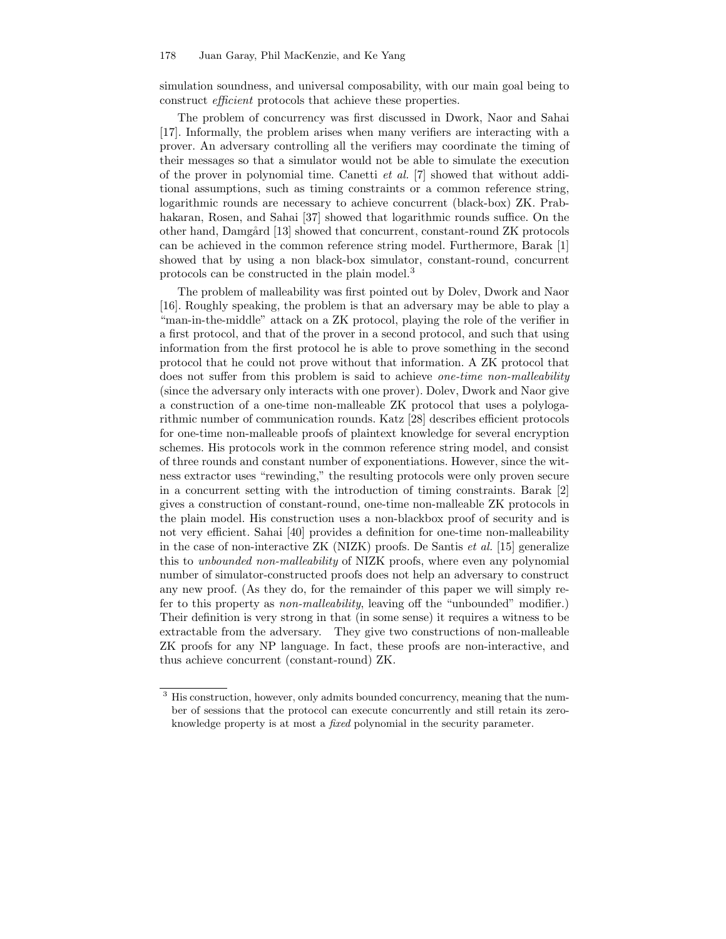simulation soundness, and universal composability, with our main goal being to construct efficient protocols that achieve these properties.

The problem of concurrency was first discussed in Dwork, Naor and Sahai [17]. Informally, the problem arises when many verifiers are interacting with a prover. An adversary controlling all the verifiers may coordinate the timing of their messages so that a simulator would not be able to simulate the execution of the prover in polynomial time. Canetti et al. [7] showed that without additional assumptions, such as timing constraints or a common reference string, logarithmic rounds are necessary to achieve concurrent (black-box) ZK. Prabhakaran, Rosen, and Sahai [37] showed that logarithmic rounds suffice. On the other hand, Damgård [13] showed that concurrent, constant-round ZK protocols can be achieved in the common reference string model. Furthermore, Barak [1] showed that by using a non black-box simulator, constant-round, concurrent protocols can be constructed in the plain model.<sup>3</sup>

The problem of malleability was first pointed out by Dolev, Dwork and Naor [16]. Roughly speaking, the problem is that an adversary may be able to play a "man-in-the-middle" attack on a ZK protocol, playing the role of the verifier in a first protocol, and that of the prover in a second protocol, and such that using information from the first protocol he is able to prove something in the second protocol that he could not prove without that information. A ZK protocol that does not suffer from this problem is said to achieve one-time non-malleability (since the adversary only interacts with one prover). Dolev, Dwork and Naor give a construction of a one-time non-malleable ZK protocol that uses a polylogarithmic number of communication rounds. Katz [28] describes efficient protocols for one-time non-malleable proofs of plaintext knowledge for several encryption schemes. His protocols work in the common reference string model, and consist of three rounds and constant number of exponentiations. However, since the witness extractor uses "rewinding," the resulting protocols were only proven secure in a concurrent setting with the introduction of timing constraints. Barak [2] gives a construction of constant-round, one-time non-malleable ZK protocols in the plain model. His construction uses a non-blackbox proof of security and is not very efficient. Sahai [40] provides a definition for one-time non-malleability in the case of non-interactive ZK (NIZK) proofs. De Santis et al. [15] generalize this to unbounded non-malleability of NIZK proofs, where even any polynomial number of simulator-constructed proofs does not help an adversary to construct any new proof. (As they do, for the remainder of this paper we will simply refer to this property as non-malleability, leaving off the "unbounded" modifier.) Their definition is very strong in that (in some sense) it requires a witness to be extractable from the adversary. They give two constructions of non-malleable ZK proofs for any NP language. In fact, these proofs are non-interactive, and thus achieve concurrent (constant-round) ZK.

<sup>&</sup>lt;sup>3</sup> His construction, however, only admits bounded concurrency, meaning that the number of sessions that the protocol can execute concurrently and still retain its zeroknowledge property is at most a fixed polynomial in the security parameter.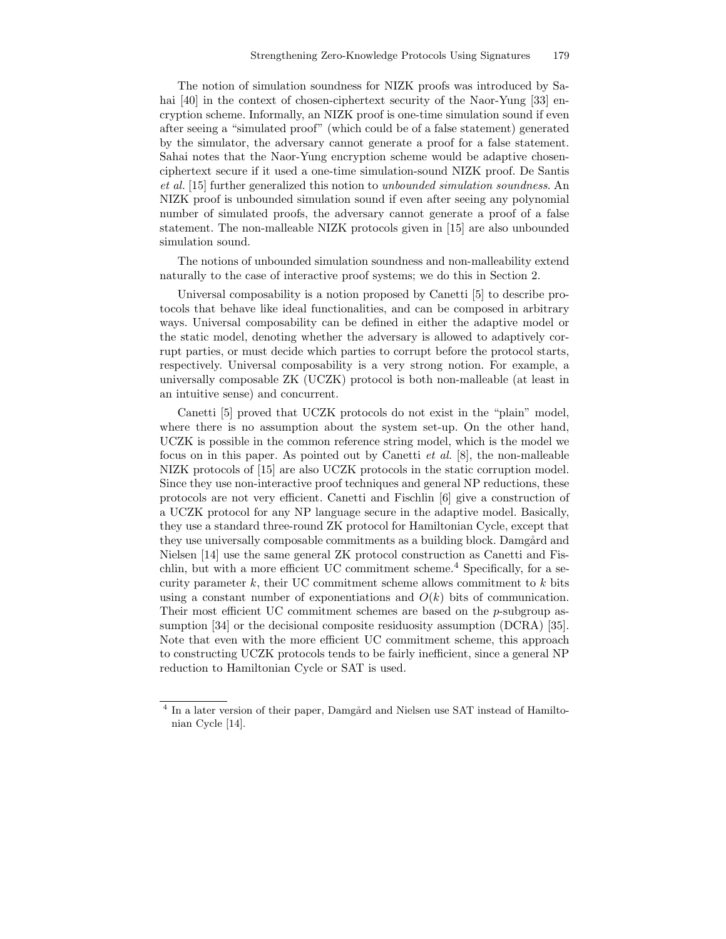The notion of simulation soundness for NIZK proofs was introduced by Sahai [40] in the context of chosen-ciphertext security of the Naor-Yung [33] encryption scheme. Informally, an NIZK proof is one-time simulation sound if even after seeing a "simulated proof" (which could be of a false statement) generated by the simulator, the adversary cannot generate a proof for a false statement. Sahai notes that the Naor-Yung encryption scheme would be adaptive chosenciphertext secure if it used a one-time simulation-sound NIZK proof. De Santis et al. [15] further generalized this notion to unbounded simulation soundness. An NIZK proof is unbounded simulation sound if even after seeing any polynomial number of simulated proofs, the adversary cannot generate a proof of a false statement. The non-malleable NIZK protocols given in [15] are also unbounded simulation sound.

The notions of unbounded simulation soundness and non-malleability extend naturally to the case of interactive proof systems; we do this in Section 2.

Universal composability is a notion proposed by Canetti [5] to describe protocols that behave like ideal functionalities, and can be composed in arbitrary ways. Universal composability can be defined in either the adaptive model or the static model, denoting whether the adversary is allowed to adaptively corrupt parties, or must decide which parties to corrupt before the protocol starts, respectively. Universal composability is a very strong notion. For example, a universally composable ZK (UCZK) protocol is both non-malleable (at least in an intuitive sense) and concurrent.

Canetti [5] proved that UCZK protocols do not exist in the "plain" model, where there is no assumption about the system set-up. On the other hand, UCZK is possible in the common reference string model, which is the model we focus on in this paper. As pointed out by Canetti et al. [8], the non-malleable NIZK protocols of [15] are also UCZK protocols in the static corruption model. Since they use non-interactive proof techniques and general NP reductions, these protocols are not very efficient. Canetti and Fischlin [6] give a construction of a UCZK protocol for any NP language secure in the adaptive model. Basically, they use a standard three-round ZK protocol for Hamiltonian Cycle, except that they use universally composable commitments as a building block. Damgård and Nielsen [14] use the same general ZK protocol construction as Canetti and Fischlin, but with a more efficient UC commitment scheme.<sup>4</sup> Specifically, for a security parameter  $k$ , their UC commitment scheme allows commitment to  $k$  bits using a constant number of exponentiations and  $O(k)$  bits of communication. Their most efficient UC commitment schemes are based on the p-subgroup assumption [34] or the decisional composite residuosity assumption (DCRA) [35]. Note that even with the more efficient UC commitment scheme, this approach to constructing UCZK protocols tends to be fairly inefficient, since a general NP reduction to Hamiltonian Cycle or SAT is used.

<sup>&</sup>lt;sup>4</sup> In a later version of their paper, Damgård and Nielsen use SAT instead of Hamiltonian Cycle [14].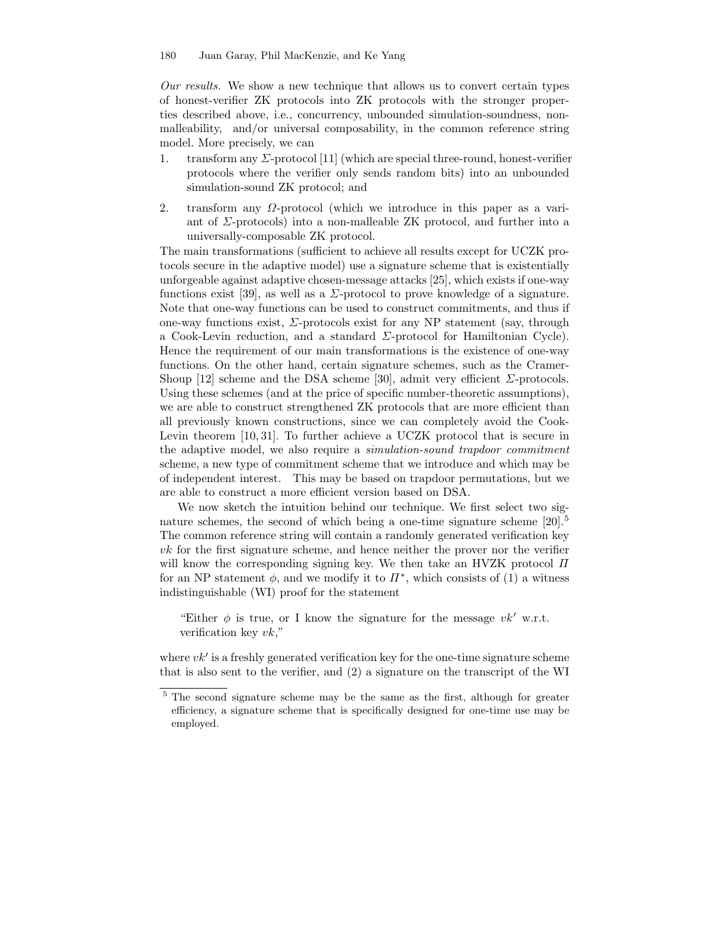Our results. We show a new technique that allows us to convert certain types of honest-verifier ZK protocols into ZK protocols with the stronger properties described above, i.e., concurrency, unbounded simulation-soundness, nonmalleability, and/or universal composability, in the common reference string model. More precisely, we can

- 1. transform any  $\Sigma$ -protocol [11] (which are special three-round, honest-verifier protocols where the verifier only sends random bits) into an unbounded simulation-sound ZK protocol; and
- 2. transform any Ω-protocol (which we introduce in this paper as a variant of  $\Sigma$ -protocols) into a non-malleable ZK protocol, and further into a universally-composable ZK protocol.

The main transformations (sufficient to achieve all results except for UCZK protocols secure in the adaptive model) use a signature scheme that is existentially unforgeable against adaptive chosen-message attacks [25], which exists if one-way functions exist [39], as well as a  $\Sigma$ -protocol to prove knowledge of a signature. Note that one-way functions can be used to construct commitments, and thus if one-way functions exist,  $\Sigma$ -protocols exist for any NP statement (say, through a Cook-Levin reduction, and a standard  $\Sigma$ -protocol for Hamiltonian Cycle). Hence the requirement of our main transformations is the existence of one-way functions. On the other hand, certain signature schemes, such as the Cramer-Shoup [12] scheme and the DSA scheme [30], admit very efficient  $\Sigma$ -protocols. Using these schemes (and at the price of specific number-theoretic assumptions), we are able to construct strengthened ZK protocols that are more efficient than all previously known constructions, since we can completely avoid the Cook-Levin theorem [10, 31]. To further achieve a UCZK protocol that is secure in the adaptive model, we also require a simulation-sound trapdoor commitment scheme, a new type of commitment scheme that we introduce and which may be of independent interest. This may be based on trapdoor permutations, but we are able to construct a more efficient version based on DSA.

We now sketch the intuition behind our technique. We first select two signature schemes, the second of which being a one-time signature scheme [20].<sup>5</sup> The common reference string will contain a randomly generated verification key vk for the first signature scheme, and hence neither the prover nor the verifier will know the corresponding signing key. We then take an HVZK protocol  $\Pi$ for an NP statement  $\phi$ , and we modify it to  $\overline{H}^*$ , which consists of (1) a witness indistinguishable (WI) proof for the statement

"Either  $\phi$  is true, or I know the signature for the message  $vk'$  w.r.t. verification key  $vk$ ,"

where  $vk'$  is a freshly generated verification key for the one-time signature scheme that is also sent to the verifier, and (2) a signature on the transcript of the WI

<sup>5</sup> The second signature scheme may be the same as the first, although for greater efficiency, a signature scheme that is specifically designed for one-time use may be employed.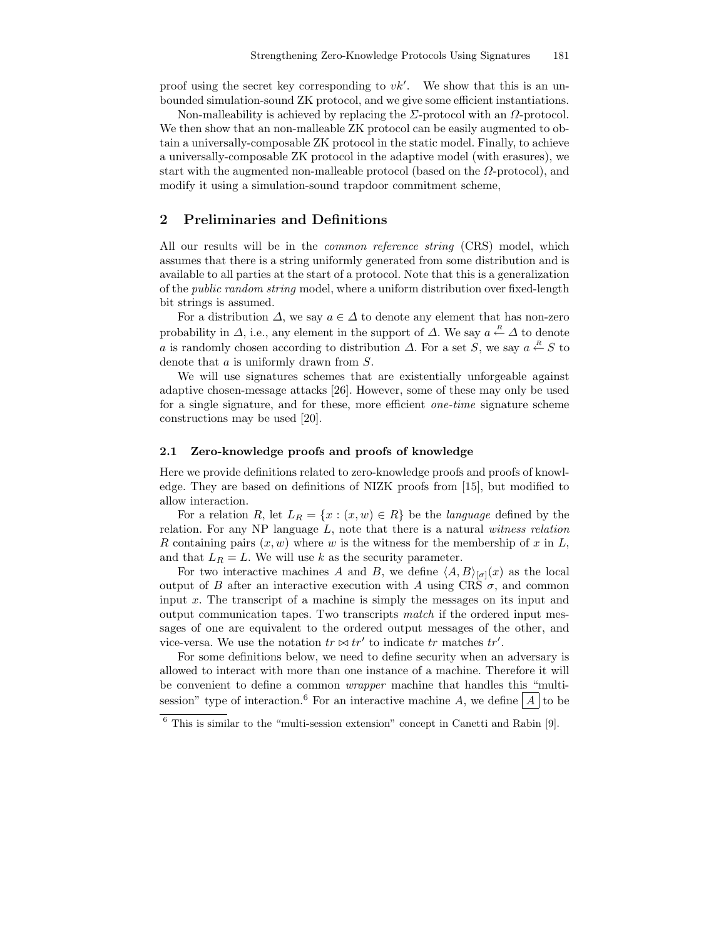proof using the secret key corresponding to  $vk'$ . We show that this is an unbounded simulation-sound ZK protocol, and we give some efficient instantiations.

Non-malleability is achieved by replacing the  $\Sigma$ -protocol with an  $\Omega$ -protocol. We then show that an non-malleable ZK protocol can be easily augmented to obtain a universally-composable ZK protocol in the static model. Finally, to achieve a universally-composable ZK protocol in the adaptive model (with erasures), we start with the augmented non-malleable protocol (based on the  $\Omega$ -protocol), and modify it using a simulation-sound trapdoor commitment scheme,

# 2 Preliminaries and Definitions

All our results will be in the *common reference string* (CRS) model, which assumes that there is a string uniformly generated from some distribution and is available to all parties at the start of a protocol. Note that this is a generalization of the public random string model, where a uniform distribution over fixed-length bit strings is assumed.

For a distribution  $\Delta$ , we say  $a \in \Delta$  to denote any element that has non-zero probability in  $\Delta$ , i.e., any element in the support of  $\Delta$ . We say  $a \stackrel{R}{\leftarrow} \Delta$  to denote a is randomly chosen according to distribution  $\Delta$ . For a set S, we say  $a \stackrel{R}{\leftarrow} S$  to denote that a is uniformly drawn from S.

We will use signatures schemes that are existentially unforgeable against adaptive chosen-message attacks [26]. However, some of these may only be used for a single signature, and for these, more efficient one-time signature scheme constructions may be used [20].

#### 2.1 Zero-knowledge proofs and proofs of knowledge

Here we provide definitions related to zero-knowledge proofs and proofs of knowledge. They are based on definitions of NIZK proofs from [15], but modified to allow interaction.

For a relation R, let  $L_R = \{x : (x, w) \in R\}$  be the *language* defined by the relation. For any NP language  $L$ , note that there is a natural witness relation R containing pairs  $(x, w)$  where w is the witness for the membership of x in L, and that  $L_R = L$ . We will use k as the security parameter.

For two interactive machines A and B, we define  $\langle A, B \rangle_{[\sigma]}(x)$  as the local output of B after an interactive execution with A using CRS  $\sigma$ , and common input  $x$ . The transcript of a machine is simply the messages on its input and output communication tapes. Two transcripts match if the ordered input messages of one are equivalent to the ordered output messages of the other, and vice-versa. We use the notation  $tr \bowtie tr'$  to indicate  $tr$  matches  $tr'.$ 

For some definitions below, we need to define security when an adversary is allowed to interact with more than one instance of a machine. Therefore it will be convenient to define a common wrapper machine that handles this "multisession" type of interaction.<sup>6</sup> For an interactive machine A, we define  $|A|$  to be

 $6$  This is similar to the "multi-session extension" concept in Canetti and Rabin [9].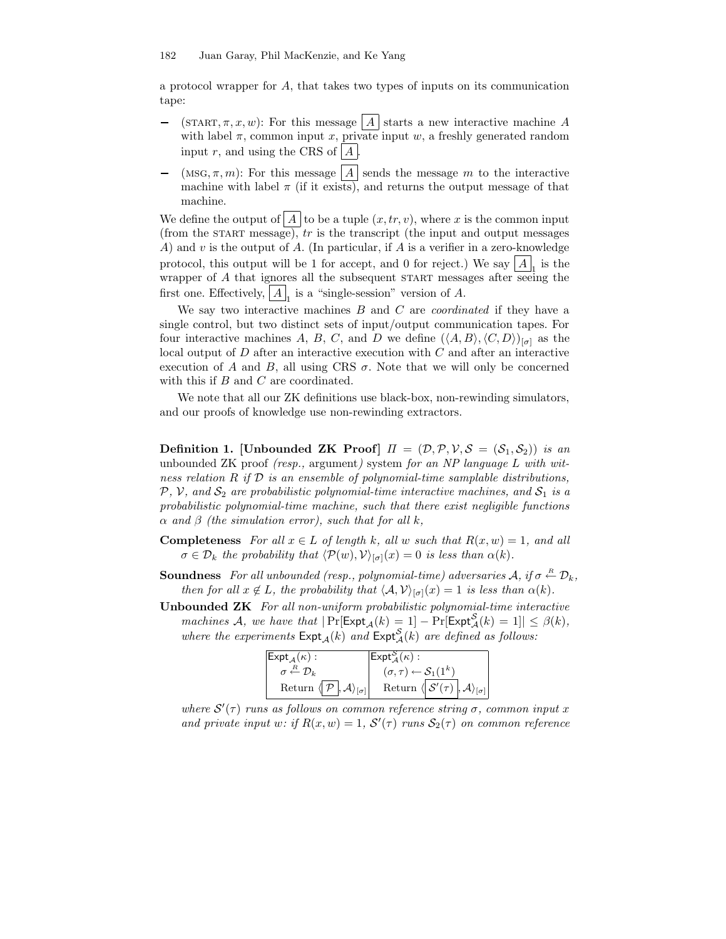a protocol wrapper for A, that takes two types of inputs on its communication tape:

- $(\text{START}, \pi, x, w)$ : For this message  $\vert A \vert$  starts a new interactive machine A with label  $\pi$ , common input x, private input w, a freshly generated random input r, and using the CRS of  $|A|$
- (MSG,  $\pi$ , m): For this message A sends the message m to the interactive machine with label  $\pi$  (if it exists), and returns the output message of that machine.

We define the output of  $\vert A \vert$  to be a tuple  $(x, tr, v)$ , where x is the common input (from the start message),  $tr$  is the transcript (the input and output messages A) and  $v$  is the output of  $A$ . (In particular, if  $A$  is a verifier in a zero-knowledge protocol, this output will be 1 for accept, and 0 for reject.) We say  $\lfloor A \rfloor$  is the wrapper of  $A$  that ignores all the subsequent START messages after seeing the first one. Effectively,  $\boxed{A}_1$  is a "single-session" version of A.

We say two interactive machines  $B$  and  $C$  are *coordinated* if they have a single control, but two distinct sets of input/output communication tapes. For four interactive machines A, B, C, and D we define  $(\langle A, B \rangle, \langle C, D \rangle)_{[\sigma]}$  as the local output of  $D$  after an interactive execution with  $C$  and after an interactive execution of A and B, all using CRS  $\sigma$ . Note that we will only be concerned with this if B and C are coordinated.

We note that all our ZK definitions use black-box, non-rewinding simulators, and our proofs of knowledge use non-rewinding extractors.

Definition 1. [Unbounded ZK Proof]  $\Pi = (\mathcal{D}, \mathcal{P}, \mathcal{V}, \mathcal{S} = (\mathcal{S}_1, \mathcal{S}_2))$  is an unbounded ZK proof ( $resp.,$  argument) system for an NP language  $L$  with witness relation R if  $\mathcal D$  is an ensemble of polynomial-time samplable distributions, P, V, and  $S_2$  are probabilistic polynomial-time interactive machines, and  $S_1$  is a probabilistic polynomial-time machine, such that there exist negligible functions  $\alpha$  and  $\beta$  (the simulation error), such that for all k,

- **Completeness** For all  $x \in L$  of length k, all w such that  $R(x, w) = 1$ , and all  $\sigma \in \mathcal{D}_k$  the probability that  $\langle \mathcal{P}(w), \mathcal{V} \rangle_{[\sigma]}(x) = 0$  is less than  $\alpha(k)$ .
- **Soundness** For all unbounded (resp., polynomial-time) adversaries  $\mathcal{A}$ , if  $\sigma \stackrel{R}{\leftarrow} \mathcal{D}_k$ , then for all  $x \notin L$ , the probability that  $\langle A, V \rangle_{[\sigma]}(x) = 1$  is less than  $\alpha(k)$ .
- Unbounded ZK For all non-uniform probabilistic polynomial-time interactive machines A, we have that  $|\Pr[\text{Expt}_{\mathcal{A}}(k) = 1] - \Pr[\text{Expt}^{\mathcal{S}}_{\mathcal{A}}(k) = 1]| \leq \beta(k)$ , where the experiments  $\text{Expt}_{\mathcal{A}}(k)$  and  $\text{Expt}_{\mathcal{A}}^{\mathcal{S}}(k)$  are defined as follows:

| $\mathsf{Expt}_{\mathcal{A}}(\kappa):$                                      | $\mathsf{Expt}^{\mathcal{S}}_{\mathcal{A}}(\kappa):$                |  |
|-----------------------------------------------------------------------------|---------------------------------------------------------------------|--|
| $\sigma \stackrel{R}{\leftarrow} \mathcal{D}_k$                             | $(\sigma, \tau) \leftarrow \mathcal{S}_1(1^k)$                      |  |
| Return $\langle \overline{\mathcal{P}} \, , \mathcal{A} \rangle_{[\sigma]}$ | Return $\langle \mathcal{S}'(\tau), \mathcal{A} \rangle_{[\sigma]}$ |  |

where  $\mathcal{S}'(\tau)$  runs as follows on common reference string  $\sigma$ , common input x and private input w: if  $R(x, w) = 1$ ,  $\mathcal{S}'(\tau)$  runs  $\mathcal{S}_2(\tau)$  on common reference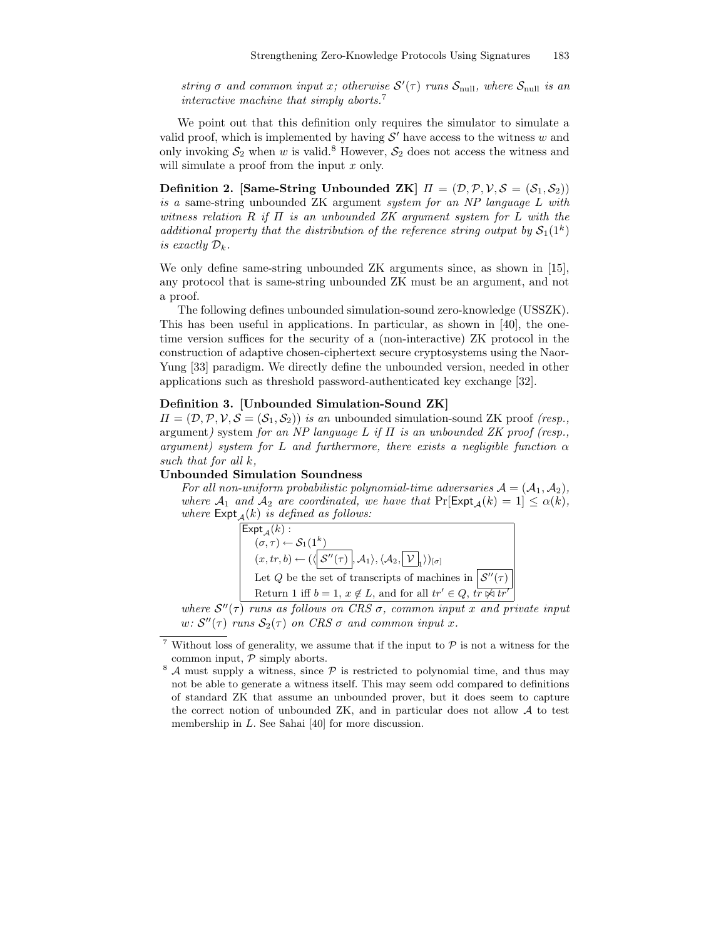string  $\sigma$  and common input x; otherwise  $\mathcal{S}'(\tau)$  runs  $\mathcal{S}_{\text{null}}$ , where  $\mathcal{S}_{\text{null}}$  is an interactive machine that simply aborts.<sup>7</sup>

We point out that this definition only requires the simulator to simulate a valid proof, which is implemented by having  $\mathcal{S}'$  have access to the witness w and only invoking  $S_2$  when w is valid.<sup>8</sup> However,  $S_2$  does not access the witness and will simulate a proof from the input  $x$  only.

Definition 2. [Same-String Unbounded ZK]  $\Pi = (\mathcal{D}, \mathcal{P}, \mathcal{V}, \mathcal{S} = (\mathcal{S}_1, \mathcal{S}_2))$ is a same-string unbounded ZK argument system for an NP language L with witness relation  $R$  if  $\Pi$  is an unbounded  $ZK$  argument system for  $L$  with the additional property that the distribution of the reference string output by  $S_1(1^k)$ is exactly  $\mathcal{D}_k$ .

We only define same-string unbounded ZK arguments since, as shown in [15], any protocol that is same-string unbounded ZK must be an argument, and not a proof.

The following defines unbounded simulation-sound zero-knowledge (USSZK). This has been useful in applications. In particular, as shown in [40], the onetime version suffices for the security of a (non-interactive) ZK protocol in the construction of adaptive chosen-ciphertext secure cryptosystems using the Naor-Yung [33] paradigm. We directly define the unbounded version, needed in other applications such as threshold password-authenticated key exchange [32].

#### Definition 3. [Unbounded Simulation-Sound ZK]

 $\Pi = (\mathcal{D}, \mathcal{P}, \mathcal{V}, \mathcal{S} = (\mathcal{S}_1, \mathcal{S}_2))$  is an unbounded simulation-sound ZK proof (resp., argument) system for an NP language L if  $\Pi$  is an unbounded ZK proof (resp., argument) system for L and furthermore, there exists a negligible function  $\alpha$ such that for all k,

#### Unbounded Simulation Soundness

For all non-uniform probabilistic polynomial-time adversaries  $A = (A_1, A_2)$ , where  $\mathcal{A}_1$  and  $\mathcal{A}_2$  are coordinated, we have that  $\Pr[\mathsf{Expt}_{\mathcal{A}}(k) = 1] \leq \alpha(k)$ , where  $\text{Expt}_{\mathcal{A}}(k)$  is defined as follows:



where  $\mathcal{S}''(\tau)$  runs as follows on CRS  $\sigma$ , common input x and private input  $w: \mathcal{S}''(\tau)$  runs  $\mathcal{S}_2(\tau)$  on CRS  $\sigma$  and common input x.

 $^7$  Without loss of generality, we assume that if the input to  $\mathcal P$  is not a witness for the common input,  $P$  simply aborts.

 $8$  A must supply a witness, since  $P$  is restricted to polynomial time, and thus may not be able to generate a witness itself. This may seem odd compared to definitions of standard ZK that assume an unbounded prover, but it does seem to capture the correct notion of unbounded  $ZK$ , and in particular does not allow  $A$  to test membership in L. See Sahai [40] for more discussion.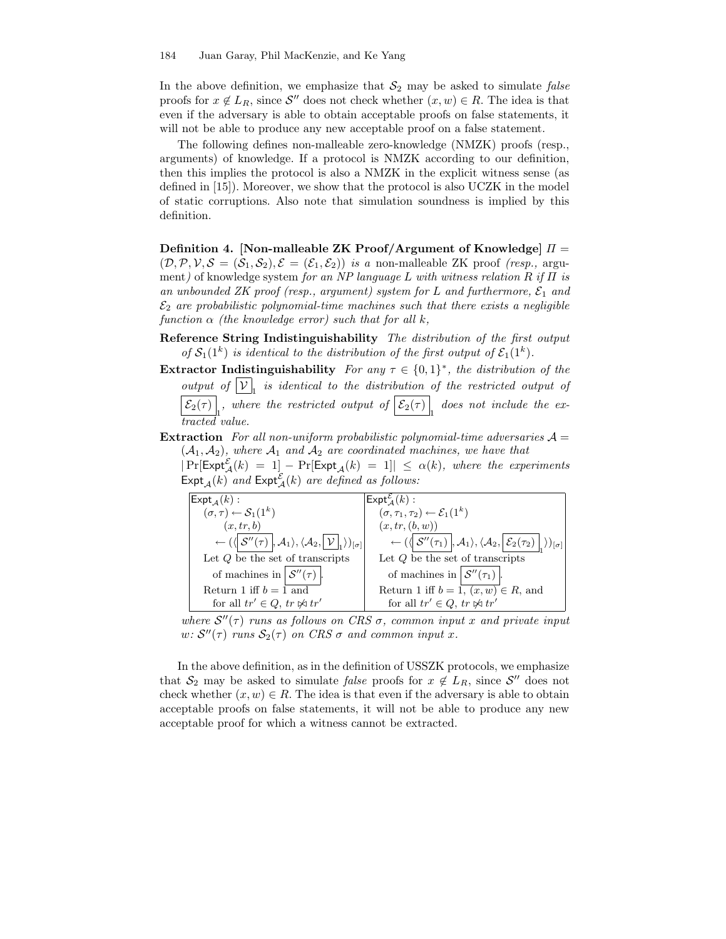In the above definition, we emphasize that  $S_2$  may be asked to simulate false proofs for  $x \notin L_R$ , since  $S''$  does not check whether  $(x, w) \in R$ . The idea is that even if the adversary is able to obtain acceptable proofs on false statements, it will not be able to produce any new acceptable proof on a false statement.

The following defines non-malleable zero-knowledge (NMZK) proofs (resp., arguments) of knowledge. If a protocol is NMZK according to our definition, then this implies the protocol is also a NMZK in the explicit witness sense (as defined in [15]). Moreover, we show that the protocol is also UCZK in the model of static corruptions. Also note that simulation soundness is implied by this definition.

Definition 4. [Non-malleable ZK Proof/Argument of Knowledge]  $\Pi$  =  $(\mathcal{D}, \mathcal{P}, \mathcal{V}, \mathcal{S}) = (\mathcal{S}_1, \mathcal{S}_2), \mathcal{E} = (\mathcal{E}_1, \mathcal{E}_2)$  is a non-malleable ZK proof (resp., argument) of knowledge system for an NP language L with witness relation R if  $\Pi$  is an unbounded ZK proof (resp., argument) system for L and furthermore,  $\mathcal{E}_1$  and  $\mathcal{E}_2$  are probabilistic polynomial-time machines such that there exists a negligible function  $\alpha$  (the knowledge error) such that for all k,

- Reference String Indistinguishability The distribution of the first output of  $S_1(1^k)$  is identical to the distribution of the first output of  $\mathcal{E}_1(1^k)$ .
- Extractor Indistinguishability For any  $\tau \in \{0,1\}^*$ , the distribution of the  $\text{output}$  of  $\mathcal{V}$ <sub>1</sub> is identical to the distribution of the restricted output of  $\mathcal{E}_2(\tau)$ <sub>1</sub>, where the restricted output of  $\mathcal{E}_2(\tau)$ <sub>1</sub> does not include the extracted value.
- **Extraction** For all non-uniform probabilistic polynomial-time adversaries  $A =$  $(A_1, A_2)$ , where  $A_1$  and  $A_2$  are coordinated machines, we have that  $|\Pr[\mathsf{Expt}_{\mathcal{A}}^{\mathcal{E}}(k) = 1] - \Pr[\mathsf{Expt}_{\mathcal{A}}(k) = 1]| \leq \alpha(k)$ , where the experiments



where  $\mathcal{S}''(\tau)$  runs as follows on CRS  $\sigma$ , common input x and private input  $w: \mathcal{S}''(\tau)$  runs  $\mathcal{S}_2(\tau)$  on CRS  $\sigma$  and common input x.

In the above definition, as in the definition of USSZK protocols, we emphasize that  $S_2$  may be asked to simulate *false* proofs for  $x \notin L_R$ , since  $S''$  does not check whether  $(x, w) \in R$ . The idea is that even if the adversary is able to obtain acceptable proofs on false statements, it will not be able to produce any new acceptable proof for which a witness cannot be extracted.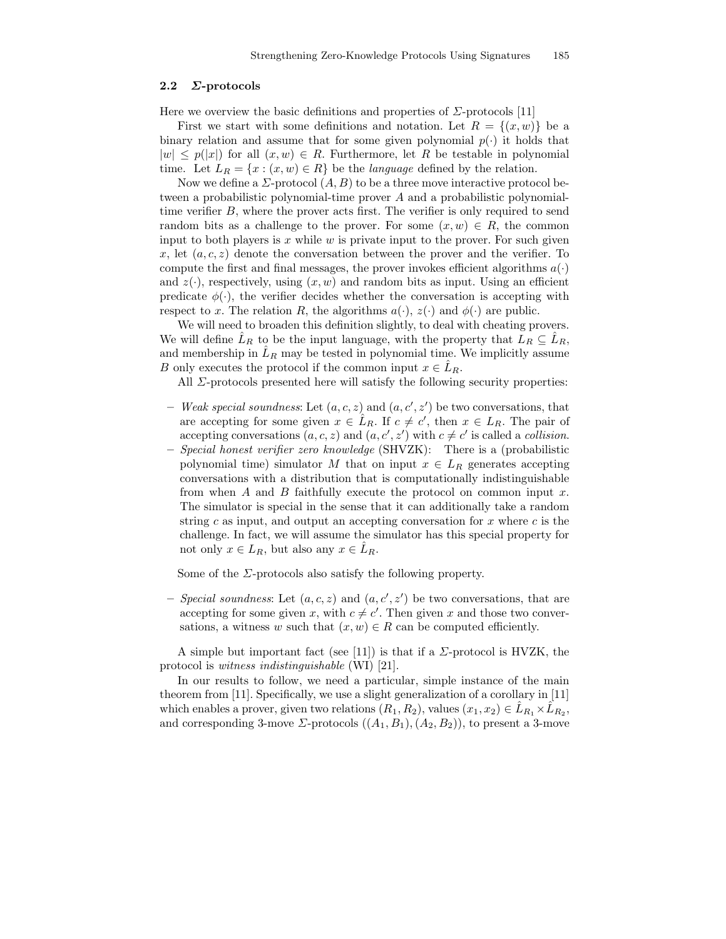#### 2.2 Σ-protocols

Here we overview the basic definitions and properties of  $\Sigma$ -protocols [11]

First we start with some definitions and notation. Let  $R = \{(x, w)\}\$ be a binary relation and assume that for some given polynomial  $p(\cdot)$  it holds that  $|w| \leq p(|x|)$  for all  $(x, w) \in R$ . Furthermore, let R be testable in polynomial time. Let  $L_R = \{x : (x, w) \in R\}$  be the *language* defined by the relation.

Now we define a  $\Sigma$ -protocol  $(A, B)$  to be a three move interactive protocol between a probabilistic polynomial-time prover A and a probabilistic polynomialtime verifier B, where the prover acts first. The verifier is only required to send random bits as a challenge to the prover. For some  $(x, w) \in R$ , the common input to both players is  $x$  while  $w$  is private input to the prover. For such given x, let  $(a, c, z)$  denote the conversation between the prover and the verifier. To compute the first and final messages, the prover invokes efficient algorithms  $a(\cdot)$ and  $z(\cdot)$ , respectively, using  $(x, w)$  and random bits as input. Using an efficient predicate  $\phi(\cdot)$ , the verifier decides whether the conversation is accepting with respect to x. The relation R, the algorithms  $a(\cdot)$ ,  $z(\cdot)$  and  $\phi(\cdot)$  are public.

We will need to broaden this definition slightly, to deal with cheating provers. We will define  $L_R$  to be the input language, with the property that  $L_R \subseteq L_R$ , and membership in  $L_R$  may be tested in polynomial time. We implicitly assume B only executes the protocol if the common input  $x \in L_R$ .

All  $\Sigma$ -protocols presented here will satisfy the following security properties:

- Weak special soundness: Let  $(a, c, z)$  and  $(a, c', z')$  be two conversations, that are accepting for some given  $x \in \hat{L}_R$ . If  $c \neq c'$ , then  $x \in L_R$ . The pair of accepting conversations  $(a, c, z)$  and  $(a, c', z')$  with  $c \neq c'$  is called a *collision*.
- Special honest verifier zero knowledge  $(SHVZK)$ : There is a (probabilistic polynomial time) simulator M that on input  $x \in L_R$  generates accepting conversations with a distribution that is computationally indistinguishable from when  $A$  and  $B$  faithfully execute the protocol on common input  $x$ . The simulator is special in the sense that it can additionally take a random string  $c$  as input, and output an accepting conversation for  $x$  where  $c$  is the challenge. In fact, we will assume the simulator has this special property for not only  $x \in L_R$ , but also any  $x \in L_R$ .

Some of the  $\Sigma$ -protocols also satisfy the following property.

- Special soundness: Let  $(a, c, z)$  and  $(a, c', z')$  be two conversations, that are accepting for some given x, with  $c \neq c'$ . Then given x and those two conversations, a witness w such that  $(x, w) \in R$  can be computed efficiently.

A simple but important fact (see [11]) is that if a  $\Sigma$ -protocol is HVZK, the protocol is witness indistinguishable (WI) [21].

In our results to follow, we need a particular, simple instance of the main theorem from [11]. Specifically, we use a slight generalization of a corollary in [11] which enables a prover, given two relations  $(R_1, R_2)$ , values  $(x_1, x_2) \in \hat{L}_{R_1} \times \hat{L}_{R_2}$ , and corresponding 3-move  $\Sigma$ -protocols  $((A_1, B_1), (A_2, B_2))$ , to present a 3-move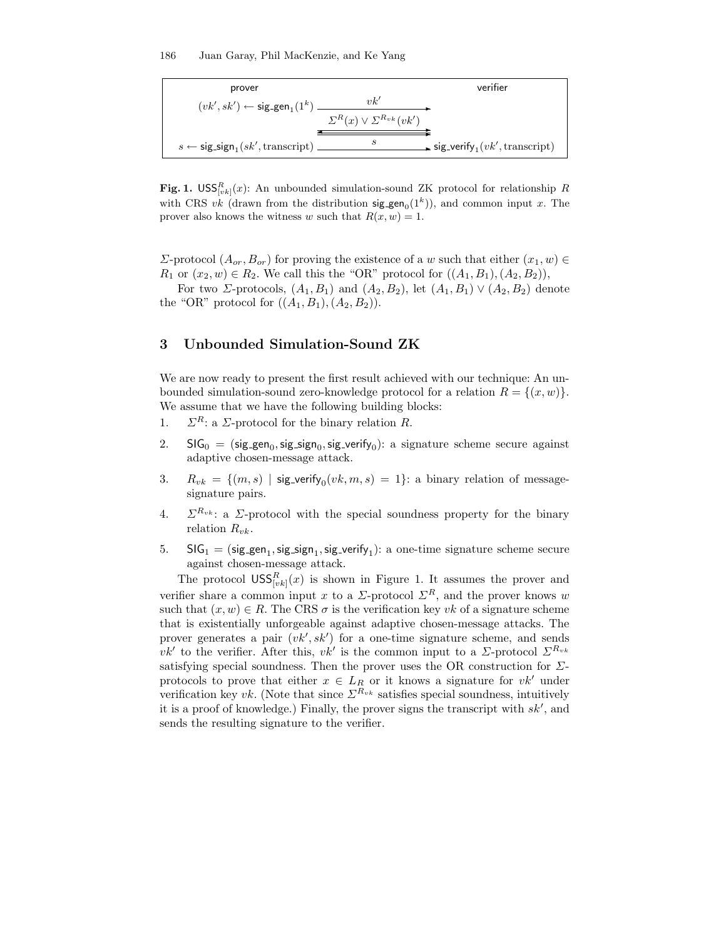

**Fig. 1.** USS<sub>[vk]</sub>(x): An unbounded simulation-sound ZK protocol for relationship R with CRS  $vk$  (drawn from the distribution  $sig\_gen_0(1^k)$ ), and common input x. The prover also knows the witness w such that  $R(x, w) = 1$ .

 $Σ$ -protocol ( $A_{or}$ ,  $B_{or}$ ) for proving the existence of a w such that either (x<sub>1</sub>, w) ∈  $R_1$  or  $(x_2, w) \in R_2$ . We call this the "OR" protocol for  $((A_1, B_1), (A_2, B_2)),$ 

For two *Σ*-protocols,  $(A_1, B_1)$  and  $(A_2, B_2)$ , let  $(A_1, B_1) \vee (A_2, B_2)$  denote the "OR" protocol for  $((A_1, B_1), (A_2, B_2))$ .

# 3 Unbounded Simulation-Sound ZK

We are now ready to present the first result achieved with our technique: An unbounded simulation-sound zero-knowledge protocol for a relation  $R = \{(x, w)\}.$ We assume that we have the following building blocks:

- 1.  $\Sigma^R$ : a  $\Sigma$ -protocol for the binary relation R.
- 2. SI $G_0 = (sig\_gen_0, sig\_sign_0, sig\_verify_0)$ : a signature scheme secure against adaptive chosen-message attack.
- 3.  $R_{vk} = \{(m, s) \mid \text{sig\_verify}_0(vk, m, s) = 1\}$ : a binary relation of messagesignature pairs.
- 4.  $\Sigma^{R_{vk}}$ : a  $\Sigma$ -protocol with the special soundness property for the binary relation  $R_{vk}$ .
- 5.  $\mathsf{SIG}_1 = (\mathsf{sig\_gen}_1, \mathsf{sig\_sign}_1, \mathsf{sig\_verify}_1):$  a one-time signature scheme secure against chosen-message attack.

The protocol  $\text{USS}_{[vk]}^R(x)$  is shown in Figure 1. It assumes the prover and verifier share a common input x to a  $\Sigma$ -protocol  $\Sigma^R$ , and the prover knows w such that  $(x, w) \in R$ . The CRS  $\sigma$  is the verification key vk of a signature scheme that is existentially unforgeable against adaptive chosen-message attacks. The prover generates a pair  $(vk', sk')$  for a one-time signature scheme, and sends vk' to the verifier. After this, vk' is the common input to a  $\Sigma$ -protocol  $\Sigma^{R_{vk}}$ satisfying special soundness. Then the prover uses the OR construction for  $\Sigma$ protocols to prove that either  $x \in L_R$  or it knows a signature for  $vk'$  under verification key vk. (Note that since  $\sum_{k} R_{vk}$  satisfies special soundness, intuitively it is a proof of knowledge.) Finally, the prover signs the transcript with  $sk'$ , and sends the resulting signature to the verifier.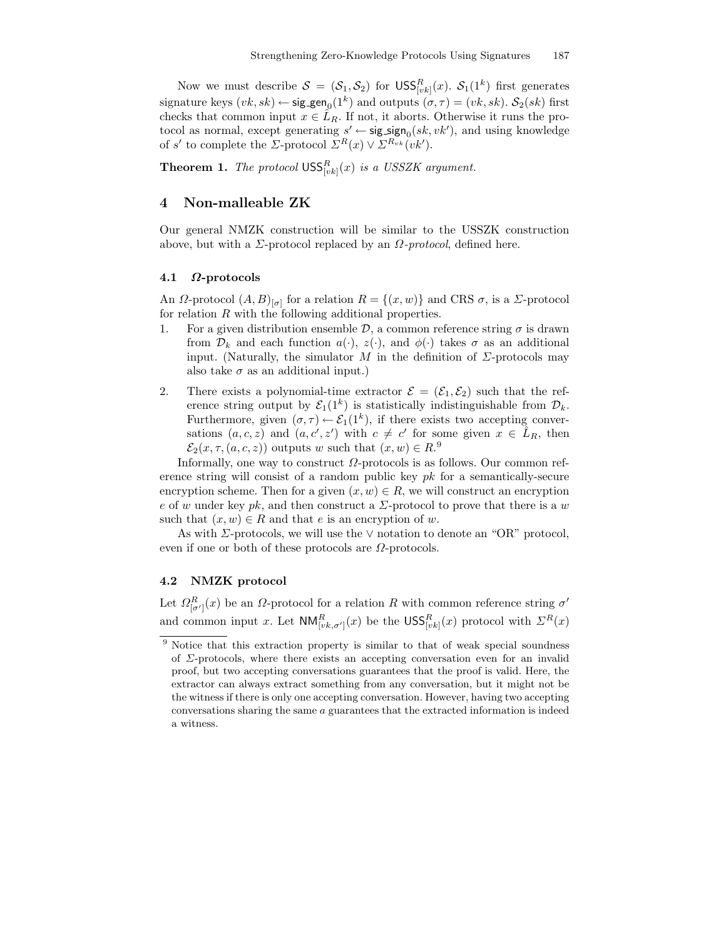Now we must describe  $S = (\mathcal{S}_1, \mathcal{S}_2)$  for  $\text{USS}_{[vk]}^R(x)$ .  $\mathcal{S}_1(1^k)$  first generates signature keys  $(vk, sk) \leftarrow$  sig-gen<sub>0</sub>(1<sup>k</sup>) and outputs  $(\sigma, \tau) = (vk, sk)$ .  $S_2(sk)$  first checks that common input  $x \in \hat{L}_R$ . If not, it aborts. Otherwise it runs the protocol as normal, except generating  $s' \leftarrow \text{sig\_sign}_0(sk, vk')$ , and using knowledge of s' to complete the *Σ*-protocol  $\Sigma^R(x) \vee \Sigma^{R_{vk}}(vk').$ 

**Theorem 1.** The protocol  $\text{USS}_{[vk]}^R(x)$  is a USSZK argument.

# 4 Non-malleable ZK

Our general NMZK construction will be similar to the USSZK construction above, but with a  $\Sigma$ -protocol replaced by an  $\Omega$ -protocol, defined here.

#### 4.1 Ω-protocols

An  $\Omega$ -protocol  $(A, B)_{[\sigma]}$  for a relation  $R = \{(x, w)\}\$ and CRS  $\sigma$ , is a  $\Sigma$ -protocol for relation R with the following additional properties.

- 1. For a given distribution ensemble  $\mathcal{D}$ , a common reference string  $\sigma$  is drawn from  $\mathcal{D}_k$  and each function  $a(\cdot)$ ,  $z(\cdot)$ , and  $\phi(\cdot)$  takes  $\sigma$  as an additional input. (Naturally, the simulator M in the definition of  $\Sigma$ -protocols may also take  $\sigma$  as an additional input.)
- 2. There exists a polynomial-time extractor  $\mathcal{E} = (\mathcal{E}_1, \mathcal{E}_2)$  such that the reference string output by  $\mathcal{E}_1(1^k)$  is statistically indistinguishable from  $\mathcal{D}_k$ . Furthermore, given  $(\sigma, \tau) \leftarrow \mathcal{E}_1(1^k)$ , if there exists two accepting conversations  $(a, c, z)$  and  $(a, c', z')$  with  $c \neq c'$  for some given  $x \in \hat{L}_R$ , then  $\mathcal{E}_2(x,\tau,(a,c,z))$  outputs w such that  $(x,w) \in R^9$ .

Informally, one way to construct  $\Omega$ -protocols is as follows. Our common reference string will consist of a random public key  $pk$  for a semantically-secure encryption scheme. Then for a given  $(x, w) \in R$ , we will construct an encryption e of w under key pk, and then construct a  $\Sigma$ -protocol to prove that there is a w such that  $(x, w) \in R$  and that e is an encryption of w.

As with  $\Sigma$ -protocols, we will use the  $\vee$  notation to denote an "OR" protocol, even if one or both of these protocols are Ω-protocols.

#### 4.2 NMZK protocol

Let  $\Omega_{[\sigma']}^R(x)$  be an  $\Omega$ -protocol for a relation R with common reference string  $\sigma'$ and common input x. Let  $\text{NM}_{[vk,\sigma']}^R(x)$  be the  $\text{USS}_{[vk]}^R(x)$  protocol with  $\Sigma^R(x)$ 

<sup>&</sup>lt;sup>9</sup> Notice that this extraction property is similar to that of weak special soundness of  $\Sigma$ -protocols, where there exists an accepting conversation even for an invalid proof, but two accepting conversations guarantees that the proof is valid. Here, the extractor can always extract something from any conversation, but it might not be the witness if there is only one accepting conversation. However, having two accepting conversations sharing the same a guarantees that the extracted information is indeed a witness.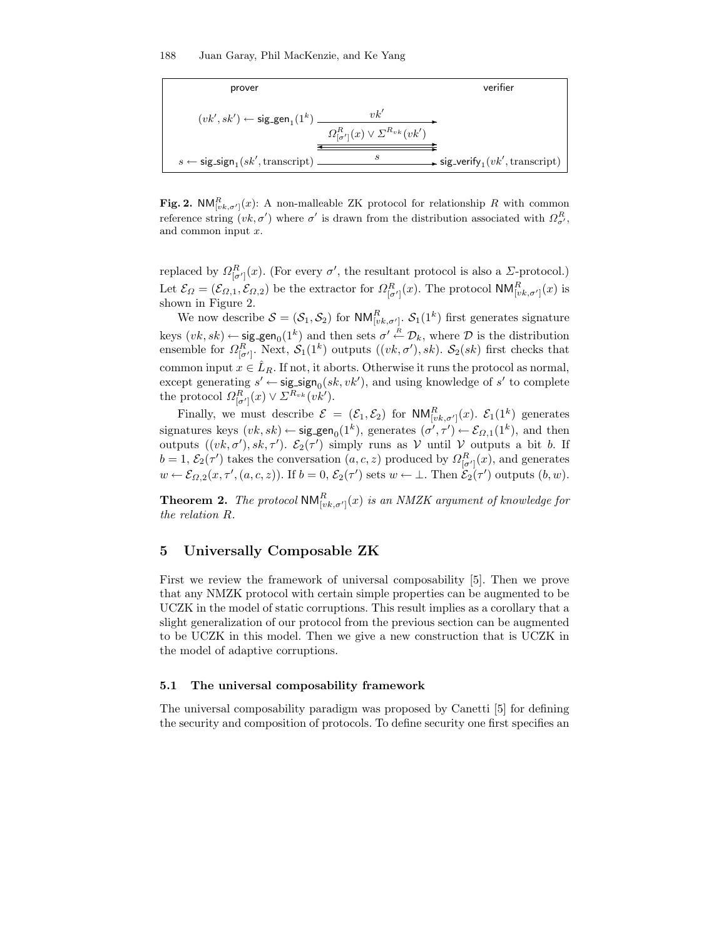

Fig. 2. NM<sup>R</sup><sub>[vk,σ']</sub>(x): A non-malleable ZK protocol for relationship R with common reference string  $(vk, \sigma')$  where  $\sigma'$  is drawn from the distribution associated with  $\Omega_{\sigma'}^R$ , and common input x.

replaced by  $\Omega_{\lbrack \sigma']}^{R}(x)$ . (For every σ', the resultant protocol is also a Σ-protocol.) Let  $\mathcal{E}_{\Omega} = (\mathcal{E}_{\Omega,1}, \mathcal{E}_{\Omega,2})$  be the extractor for  $\Omega^R_{[\sigma']}(x)$ . The protocol  $\text{NM}^R_{[vk,\sigma']}(x)$  is shown in Figure 2.

We now describe  $S = (\mathcal{S}_1, \mathcal{S}_2)$  for  $NM_{[vk, \sigma']}^R$ .  $\mathcal{S}_1(1^k)$  first generates signature keys  $(vk, sk) \leftarrow \text{sig\_gen}_0(1^k)$  and then sets  $\sigma' \stackrel{R}{\leftarrow} \mathcal{D}_k$ , where  $\mathcal D$  is the distribution ensemble for  $\Omega_{[\sigma']}^R$ . Next,  $\mathcal{S}_1(1^k)$  outputs  $((vk, \sigma'), sk)$ .  $\mathcal{S}_2(sk)$  first checks that common input  $x \in \hat{L}_R$ . If not, it aborts. Otherwise it runs the protocol as normal, except generating  $s' \leftarrow \text{sign}_0(sk, vk'),$  and using knowledge of s' to complete the protocol  $\Omega_{[\sigma']}^R(x) \vee \Sigma^{R_{vk}}(vk').$ 

Finally, we must describe  $\mathcal{E} = (\mathcal{E}_1, \mathcal{E}_2)$  for  $\text{NM}_{[vk,\sigma']}^R(x)$ .  $\mathcal{E}_1(1^k)$  generates signatures keys  $(vk, sk) \leftarrow \text{sig-gen}_0(1^k)$ , generates  $(\sigma', \tau') \leftarrow \mathcal{E}_{\Omega,1}(1^k)$ , and then outputs  $((vk, σ'), sk, τ')$ .  $\mathcal{E}_2(τ')$  simply runs as V until V outputs a bit b. If  $b = 1, \mathcal{E}_2(\tau')$  takes the conversation  $(a, c, z)$  produced by  $\Omega_{[\sigma']}^R(x)$ , and generates  $w \leftarrow \mathcal{E}_{\Omega,2}(x, \tau', (a, c, z))$ . If  $b = 0, \mathcal{E}_2(\tau')$  sets  $w \leftarrow \bot$ . Then  $\mathcal{E}_2(\tau')$  outputs  $(b, w)$ .

**Theorem 2.** The protocol  $\text{NM}_{[vk,\sigma']}^R(x)$  is an NMZK argument of knowledge for the relation R.

## 5 Universally Composable ZK

First we review the framework of universal composability [5]. Then we prove that any NMZK protocol with certain simple properties can be augmented to be UCZK in the model of static corruptions. This result implies as a corollary that a slight generalization of our protocol from the previous section can be augmented to be UCZK in this model. Then we give a new construction that is UCZK in the model of adaptive corruptions.

#### 5.1 The universal composability framework

The universal composability paradigm was proposed by Canetti [5] for defining the security and composition of protocols. To define security one first specifies an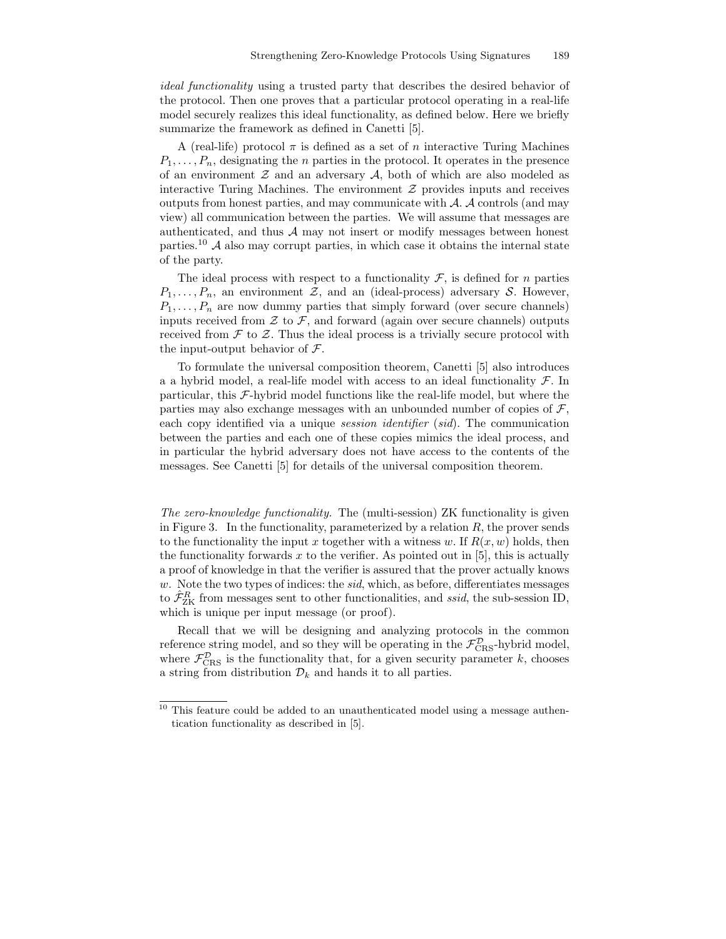ideal functionality using a trusted party that describes the desired behavior of the protocol. Then one proves that a particular protocol operating in a real-life model securely realizes this ideal functionality, as defined below. Here we briefly summarize the framework as defined in Canetti [5].

A (real-life) protocol  $\pi$  is defined as a set of n interactive Turing Machines  $P_1, \ldots, P_n$ , designating the *n* parties in the protocol. It operates in the presence of an environment  $Z$  and an adversary  $A$ , both of which are also modeled as interactive Turing Machines. The environment  $\mathcal Z$  provides inputs and receives outputs from honest parties, and may communicate with  $A$ .  $A$  controls (and may view) all communication between the parties. We will assume that messages are authenticated, and thus  $A$  may not insert or modify messages between honest parties.<sup>10</sup>  $\mathcal A$  also may corrupt parties, in which case it obtains the internal state of the party.

The ideal process with respect to a functionality  $\mathcal F$ , is defined for n parties  $P_1, \ldots, P_n$ , an environment Z, and an (ideal-process) adversary S. However,  $P_1, \ldots, P_n$  are now dummy parties that simply forward (over secure channels) inputs received from  $\mathcal Z$  to  $\mathcal F$ , and forward (again over secure channels) outputs received from  $\mathcal F$  to  $\mathcal Z$ . Thus the ideal process is a trivially secure protocol with the input-output behavior of  $\mathcal{F}$ .

To formulate the universal composition theorem, Canetti [5] also introduces a a hybrid model, a real-life model with access to an ideal functionality  $\mathcal{F}$ . In particular, this F-hybrid model functions like the real-life model, but where the parties may also exchange messages with an unbounded number of copies of  $\mathcal{F}$ , each copy identified via a unique *session identifier* (sid). The communication between the parties and each one of these copies mimics the ideal process, and in particular the hybrid adversary does not have access to the contents of the messages. See Canetti [5] for details of the universal composition theorem.

The zero-knowledge functionality. The (multi-session) ZK functionality is given in Figure 3. In the functionality, parameterized by a relation  $R$ , the prover sends to the functionality the input x together with a witness w. If  $R(x, w)$  holds, then the functionality forwards x to the verifier. As pointed out in  $[5]$ , this is actually a proof of knowledge in that the verifier is assured that the prover actually knows  $w$ . Note the two types of indices: the *sid*, which, as before, differentiates messages to  $\hat{\mathcal{F}}^{R}_{\text{ZK}}$  from messages sent to other functionalities, and *ssid*, the sub-session ID, which is unique per input message (or proof).

Recall that we will be designing and analyzing protocols in the common reference string model, and so they will be operating in the  $\mathcal{F}_{\text{CRS}}^{\mathcal{D}}$ -hybrid model, where  $\mathcal{F}_{CRS}^{\mathcal{D}}$  is the functionality that, for a given security parameter k, chooses a string from distribution  $\mathcal{D}_k$  and hands it to all parties.

 $^{\rm 10}$  This feature could be added to an unauthenticated model using a message authentication functionality as described in [5].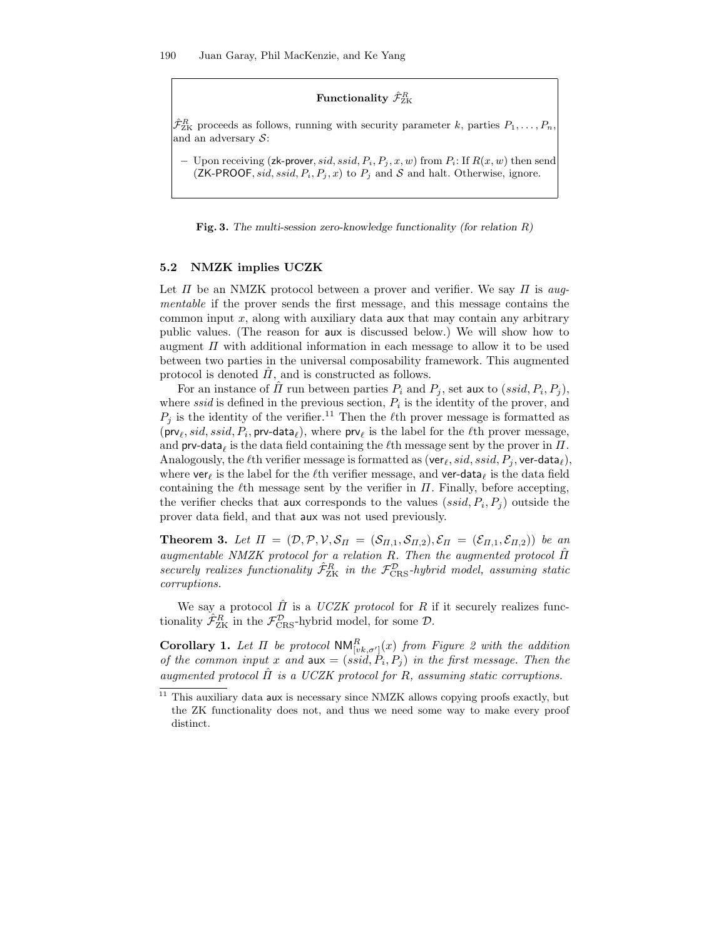# Functionality  $\hat{\mathcal{F}}^{R}_{\text{ZK}}$

 $\hat{\mathcal{F}}_{\text{ZK}}^R$  proceeds as follows, running with security parameter k, parties  $P_1, \ldots, P_n$ , and an adversary  $S$ :

– Upon receiving (zk-prover, sid, ssid,  $P_i$ ,  $P_j$ , x, w) from  $P_i$ : If  $R(x, w)$  then send (ZK-PROOF, sid, ssid,  $P_i$ ,  $P_j$ , x) to  $P_j$  and S and halt. Otherwise, ignore.

Fig. 3. The multi-session zero-knowledge functionality (for relation  $R$ )

#### 5.2 NMZK implies UCZK

Let  $\Pi$  be an NMZK protocol between a prover and verifier. We say  $\Pi$  is augmentable if the prover sends the first message, and this message contains the common input  $x$ , along with auxiliary data aux that may contain any arbitrary public values. (The reason for aux is discussed below.) We will show how to augment  $\Pi$  with additional information in each message to allow it to be used between two parties in the universal composability framework. This augmented protocol is denoted  $\hat{\Pi}$ , and is constructed as follows.

For an instance of  $\hat{H}$  run between parties  $P_i$  and  $P_j$ , set aux to  $(ssid, P_i, P_j)$ , where  $ssid$  is defined in the previous section,  $P_i$  is the identity of the prover, and  $P_i$  is the identity of the verifier.<sup>11</sup> Then the  $\ell$ th prover message is formatted as  $(\text{prv}_{\ell}, sid, ssid, P_i, \text{prv-data}_{\ell}),$  where  $\text{prv}_{\ell}$  is the label for the  $\ell$ th prover message, and  $\mathsf{prv}\text{-}\mathsf{data}_\ell$  is the data field containing the  $\ell\text{th}$  message sent by the prover in  $\Pi$ . Analogously, the  $\ell$ th verifier message is formatted as (ver<sub> $\ell$ </sub>, sid,  $S$ <sub>i</sub>, ver-data $_{\ell}$ ). where ver<sub> $\ell$ </sub> is the label for the  $\ell$ th verifier message, and ver-data $\ell$  is the data field containing the  $\ell$ th message sent by the verifier in  $\Pi$ . Finally, before accepting, the verifier checks that aux corresponds to the values  $(ssid, P_i, P_j)$  outside the prover data field, and that aux was not used previously.

**Theorem 3.** Let  $\Pi = (\mathcal{D}, \mathcal{P}, \mathcal{V}, \mathcal{S}_{\Pi} = (\mathcal{S}_{\Pi,1}, \mathcal{S}_{\Pi,2}), \mathcal{E}_{\Pi} = (\mathcal{E}_{\Pi,1}, \mathcal{E}_{\Pi,2})$  be an augmentable NMZK protocol for a relation R. Then the augmented protocol  $\hat{\Pi}$ securely realizes functionality  $\hat{\mathcal{F}}_{\text{ZK}}^R$  in the  $\mathcal{F}_{\text{CRS}}^{\mathcal{D}}$ -hybrid model, assuming static corruptions.

We say a protocol  $\hat{\Pi}$  is a UCZK protocol for R if it securely realizes functionality  $\hat{\mathcal{F}}_{\text{ZK}}^R$  in the  $\mathcal{F}_{\text{CRS}}^{\mathcal{D}}$ -hybrid model, for some  $\mathcal{D}$ .

**Corollary 1.** Let  $\Pi$  be protocol  $NM_{[vk,\sigma']}^R(x)$  from Figure 2 with the addition of the common input x and  $\textsf{aux} = (s\,, P_i, P_j)$  in the first message. Then the augmented protocol  $\hat{\Pi}$  is a UCZK protocol for R, assuming static corruptions.

 $11$  This auxiliary data aux is necessary since NMZK allows copying proofs exactly, but the ZK functionality does not, and thus we need some way to make every proof distinct.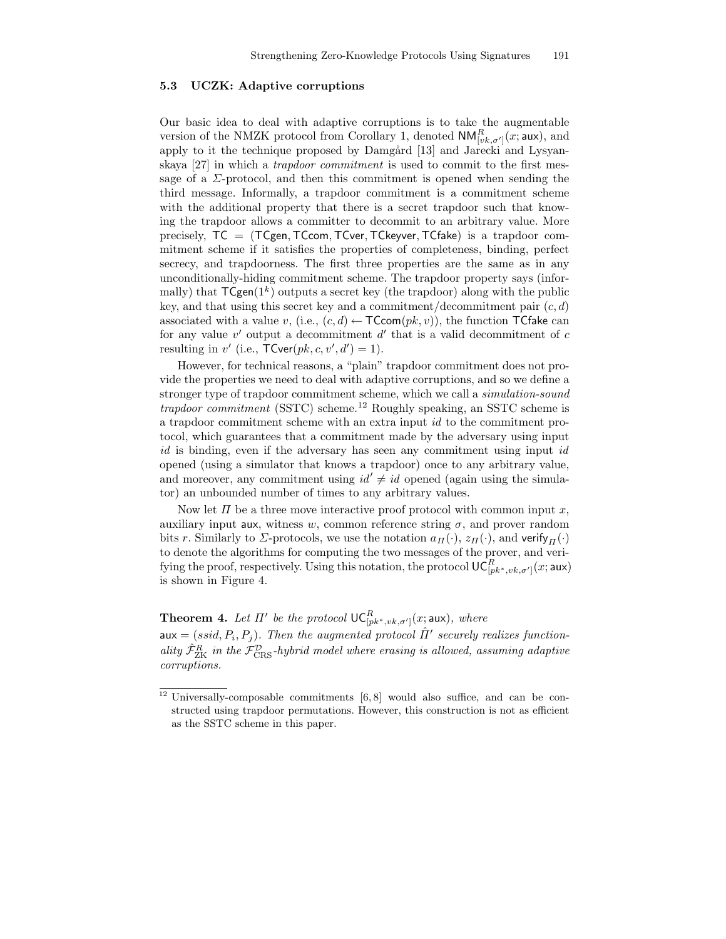#### 5.3 UCZK: Adaptive corruptions

Our basic idea to deal with adaptive corruptions is to take the augmentable version of the NMZK protocol from Corollary 1, denoted  $\text{NM}_{[vk,\sigma']}^R(x; \text{aux}),$  and apply to it the technique proposed by Damgård [13] and Jarecki and Lysyanskaya [27] in which a trapdoor commitment is used to commit to the first message of a  $\Sigma$ -protocol, and then this commitment is opened when sending the third message. Informally, a trapdoor commitment is a commitment scheme with the additional property that there is a secret trapdoor such that knowing the trapdoor allows a committer to decommit to an arbitrary value. More precisely,  $TC = (TCgen, TCcom, TCver, TCkeyver, TCfake)$  is a trapdoor commitment scheme if it satisfies the properties of completeness, binding, perfect secrecy, and trapdoorness. The first three properties are the same as in any unconditionally-hiding commitment scheme. The trapdoor property says (informally) that  $\mathsf{TCgen}(1^k)$  outputs a secret key (the trapdoor) along with the public key, and that using this secret key and a commitment/decommitment pair  $(c, d)$ associated with a value v, (i.e.,  $(c, d) \leftarrow \text{TCom}(pk, v)$ ), the function TCfake can for any value  $v'$  output a decommitment  $d'$  that is a valid decommitment of  $c$ resulting in  $v'$  (i.e.,  $\mathsf{TCover}(pk, c, v', d') = 1$ ).

However, for technical reasons, a "plain" trapdoor commitment does not provide the properties we need to deal with adaptive corruptions, and so we define a stronger type of trapdoor commitment scheme, which we call a simulation-sound trapdoor commitment (SSTC) scheme.<sup>12</sup> Roughly speaking, an SSTC scheme is a trapdoor commitment scheme with an extra input id to the commitment protocol, which guarantees that a commitment made by the adversary using input id is binding, even if the adversary has seen any commitment using input id opened (using a simulator that knows a trapdoor) once to any arbitrary value, and moreover, any commitment using  $id' \neq id$  opened (again using the simulator) an unbounded number of times to any arbitrary values.

Now let  $\Pi$  be a three move interactive proof protocol with common input  $x$ , auxiliary input aux, witness w, common reference string  $\sigma$ , and prover random bits r. Similarly to Σ-protocols, we use the notation  $a_{\Pi}(\cdot)$ ,  $z_{\Pi}(\cdot)$ , and verify<sub> $\Pi(\cdot)$ </sub> to denote the algorithms for computing the two messages of the prover, and verifying the proof, respectively. Using this notation, the protocol  $\mathsf{UC}_{[pk^*,vk,\sigma']}^{R}(x; \mathsf{aux})$ is shown in Figure 4.

**Theorem 4.** Let  $\Pi'$  be the protocol  $\mathsf{UC}_{[pk^*,vk,\sigma']}^R(x; \textsf{aux}),$  where

 $\mathsf{aux} = (ssid, P_i, P_j)$ . Then the augmented protocol  $\hat{\Pi}'$  securely realizes functionality  $\hat{\mathcal{F}}^{R}_{\text{ZK}}$  in the  $\mathcal{F}^{\mathcal{D}}_{\text{CRS}}$ -hybrid model where erasing is allowed, assuming adaptive corruptions.

 $12$  Universally-composable commitments  $[6, 8]$  would also suffice, and can be constructed using trapdoor permutations. However, this construction is not as efficient as the SSTC scheme in this paper.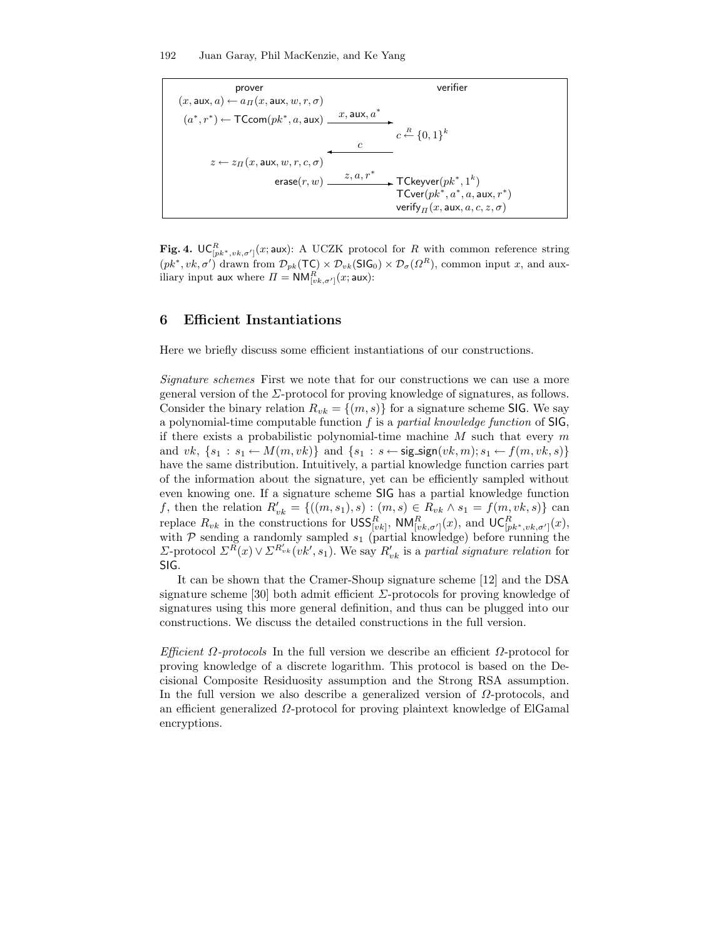

**Fig. 4.**  $\mathsf{UC}_{[pk^*,vk,\sigma']}^{R}(x; \textsf{aux})$ : A UCZK protocol for R with common reference string  $(pk^*, vk, \sigma')$  drawn from  $\mathcal{D}_{pk}(\mathsf{TC}) \times \mathcal{D}_{vk}(\mathsf{SIG}_0) \times \mathcal{D}_{\sigma}(\Omega^R)$ , common input x, and auxiliary input aux where  $\Pi = \mathsf{NM}_{[vk,\sigma']}^R(x; \mathsf{aux})$ :

## 6 Efficient Instantiations

Here we briefly discuss some efficient instantiations of our constructions.

Signature schemes First we note that for our constructions we can use a more general version of the  $\Sigma$ -protocol for proving knowledge of signatures, as follows. Consider the binary relation  $R_{vk} = \{(m, s)\}\$ for a signature scheme SIG. We say a polynomial-time computable function  $f$  is a *partial knowledge function* of SIG. if there exists a probabilistic polynomial-time machine  $M$  such that every  $m$ and  $vk, \{s_1 : s_1 \leftarrow M(m, vk)\}\$ and  $\{s_1 : s \leftarrow \text{sign}(vk, m); s_1 \leftarrow f(m, vk, s)\}\$ have the same distribution. Intuitively, a partial knowledge function carries part of the information about the signature, yet can be efficiently sampled without even knowing one. If a signature scheme SIG has a partial knowledge function f, then the relation  $R'_{vk} = \{((m, s_1), s) : (m, s) \in R_{vk} \land s_1 = f(m, vk, s)\}\)$  can replace  $R_{vk}$  in the constructions for  $\mathsf{USS}_{[vk]}^R$ ,  $\mathsf{NM}_{[vk,\sigma']}^R(x)$ , and  $\mathsf{UC}_{[pk^*,vk,\sigma']}^R(x)$ , with  $P$  sending a randomly sampled  $s_1$  (partial knowledge) before running the Σ-protocol  $\Sigma^R(x)$  ∨  $\Sigma^{R'_{vk}}(vk', s_1)$ . We say  $R'_{vk}$  is a partial signature relation for SIG.

It can be shown that the Cramer-Shoup signature scheme [12] and the DSA signature scheme [30] both admit efficient  $\Sigma$ -protocols for proving knowledge of signatures using this more general definition, and thus can be plugged into our constructions. We discuss the detailed constructions in the full version.

Efficient  $\Omega$ -protocols In the full version we describe an efficient  $\Omega$ -protocol for proving knowledge of a discrete logarithm. This protocol is based on the Decisional Composite Residuosity assumption and the Strong RSA assumption. In the full version we also describe a generalized version of  $\Omega$ -protocols, and an efficient generalized  $\Omega$ -protocol for proving plaintext knowledge of ElGamal encryptions.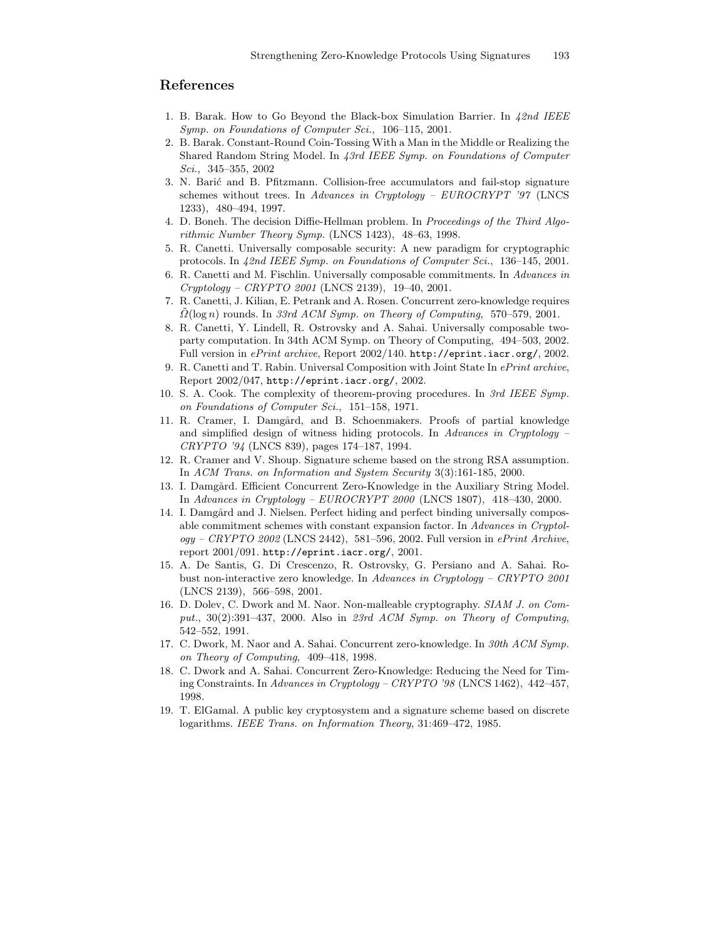# References

- 1. B. Barak. How to Go Beyond the Black-box Simulation Barrier. In  $42nd$  IEEE Symp. on Foundations of Computer Sci., 106–115, 2001.
- 2. B. Barak. Constant-Round Coin-Tossing With a Man in the Middle or Realizing the Shared Random String Model. In 43rd IEEE Symp. on Foundations of Computer Sci., 345–355, 2002
- 3. N. Bari´c and B. Pfitzmann. Collision-free accumulators and fail-stop signature schemes without trees. In Advances in Cryptology – EUROCRYPT '97 (LNCS 1233), 480–494, 1997.
- 4. D. Boneh. The decision Diffie-Hellman problem. In Proceedings of the Third Algorithmic Number Theory Symp. (LNCS 1423), 48–63, 1998.
- 5. R. Canetti. Universally composable security: A new paradigm for cryptographic protocols. In 42nd IEEE Symp. on Foundations of Computer Sci., 136–145, 2001.
- 6. R. Canetti and M. Fischlin. Universally composable commitments. In Advances in Cryptology – CRYPTO 2001 (LNCS 2139), 19–40, 2001.
- 7. R. Canetti, J. Kilian, E. Petrank and A. Rosen. Concurrent zero-knowledge requires  $\tilde{\Omega}(\log n)$  rounds. In 33rd ACM Symp. on Theory of Computing, 570–579, 2001.
- 8. R. Canetti, Y. Lindell, R. Ostrovsky and A. Sahai. Universally composable twoparty computation. In 34th ACM Symp. on Theory of Computing, 494–503, 2002. Full version in ePrint archive, Report 2002/140. http://eprint.iacr.org/, 2002.
- 9. R. Canetti and T. Rabin. Universal Composition with Joint State In ePrint archive, Report 2002/047, http://eprint.iacr.org/, 2002.
- 10. S. A. Cook. The complexity of theorem-proving procedures. In 3rd IEEE Symp. on Foundations of Computer Sci., 151–158, 1971.
- 11. R. Cramer, I. Damgård, and B. Schoenmakers. Proofs of partial knowledge and simplified design of witness hiding protocols. In Advances in Cryptology – CRYPTO '94 (LNCS 839), pages 174–187, 1994.
- 12. R. Cramer and V. Shoup. Signature scheme based on the strong RSA assumption. In ACM Trans. on Information and System Security 3(3):161-185, 2000.
- 13. I. Damgård. Efficient Concurrent Zero-Knowledge in the Auxiliary String Model. In Advances in Cryptology – EUROCRYPT 2000 (LNCS 1807), 418–430, 2000.
- 14. I. Damgård and J. Nielsen. Perfect hiding and perfect binding universally composable commitment schemes with constant expansion factor. In Advances in Cryptol $ogy - CRYPTO 2002$  (LNCS 2442), 581–596, 2002. Full version in *ePrint Archive*, report 2001/091. http://eprint.iacr.org/, 2001.
- 15. A. De Santis, G. Di Crescenzo, R. Ostrovsky, G. Persiano and A. Sahai. Robust non-interactive zero knowledge. In Advances in Cryptology – CRYPTO 2001 (LNCS 2139), 566–598, 2001.
- 16. D. Dolev, C. Dwork and M. Naor. Non-malleable cryptography. SIAM J. on Comput., 30(2):391-437, 2000. Also in 23rd ACM Symp. on Theory of Computing, 542–552, 1991.
- 17. C. Dwork, M. Naor and A. Sahai. Concurrent zero-knowledge. In 30th ACM Symp. on Theory of Computing, 409–418, 1998.
- 18. C. Dwork and A. Sahai. Concurrent Zero-Knowledge: Reducing the Need for Timing Constraints. In Advances in Cryptology – CRYPTO '98 (LNCS 1462), 442–457, 1998.
- 19. T. ElGamal. A public key cryptosystem and a signature scheme based on discrete logarithms. IEEE Trans. on Information Theory, 31:469–472, 1985.